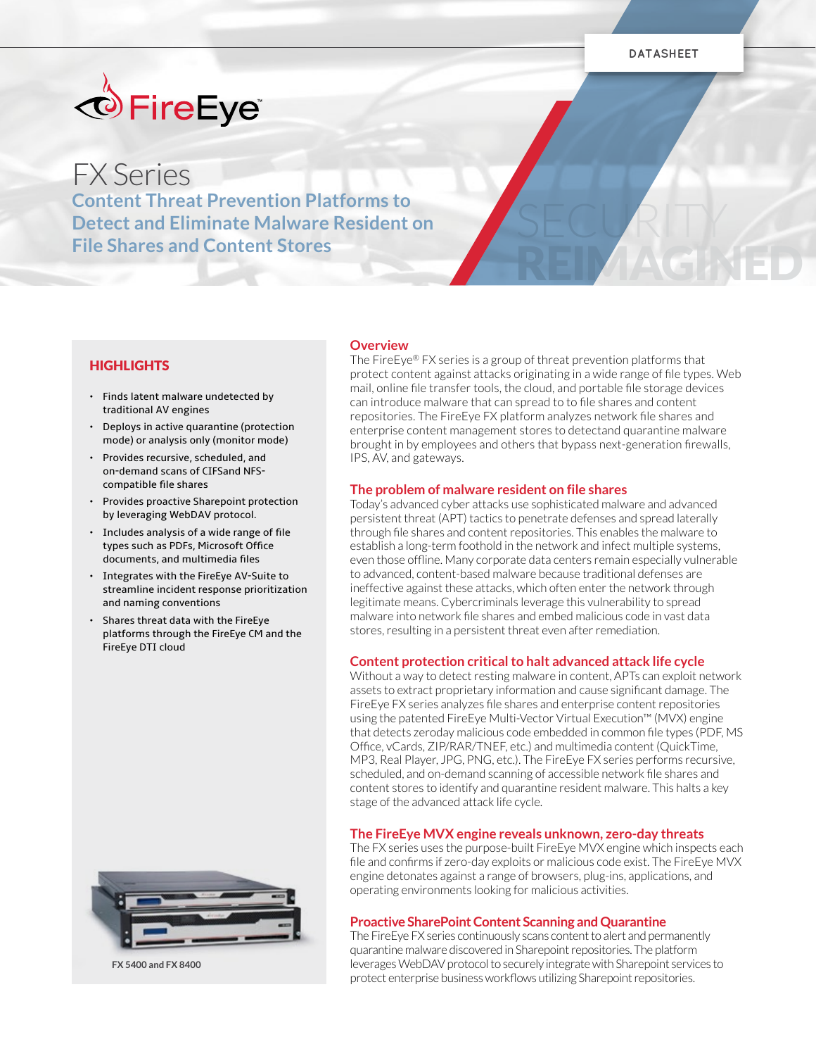SECURITY

REIMAGINED



# FX Series

**Content Threat Prevention Platforms to Detect and Eliminate Malware Resident on File Shares and Content Stores**

## HIGHLIGHTS

- Finds latent malware undetected by traditional AV engines
- Deploys in active quarantine (protection mode) or analysis only (monitor mode)
- Provides recursive, scheduled, and on-demand scans of CIFSand NFScompatible file shares
- Provides proactive Sharepoint protection by leveraging WebDAV protocol.
- Includes analysis of a wide range of file types such as PDFs, Microsoft Office documents, and multimedia files
- Integrates with the FireEye AV-Suite to streamline incident response prioritization and naming conventions
- Shares threat data with the FireEye platforms through the FireEye CM and the FireEye DTI cloud



**FX 5400 and FX 8400**

## **Overview**

The FireEye® FX series is a group of threat prevention platforms that protect content against attacks originating in a wide range of file types. Web mail, online file transfer tools, the cloud, and portable file storage devices can introduce malware that can spread to to file shares and content repositories. The FireEye FX platform analyzes network file shares and enterprise content management stores to detectand quarantine malware brought in by employees and others that bypass next-generation firewalls, IPS, AV, and gateways.

#### **The problem of malware resident on file shares**

Today's advanced cyber attacks use sophisticated malware and advanced persistent threat (APT) tactics to penetrate defenses and spread laterally through file shares and content repositories. This enables the malware to establish a long-term foothold in the network and infect multiple systems, even those offline. Many corporate data centers remain especially vulnerable to advanced, content-based malware because traditional defenses are ineffective against these attacks, which often enter the network through legitimate means. Cybercriminals leverage this vulnerability to spread malware into network file shares and embed malicious code in vast data stores, resulting in a persistent threat even after remediation.

## **Content protection critical to halt advanced attack life cycle**

Without a way to detect resting malware in content, APTs can exploit network assets to extract proprietary information and cause significant damage. The FireEye FX series analyzes file shares and enterprise content repositories using the patented FireEye Multi-Vector Virtual Execution™ (MVX) engine that detects zeroday malicious code embedded in common file types (PDF, MS Office, vCards, ZIP/RAR/TNEF, etc.) and multimedia content (QuickTime, MP3, Real Player, JPG, PNG, etc.). The FireEye FX series performs recursive, scheduled, and on-demand scanning of accessible network file shares and content stores to identify and quarantine resident malware. This halts a key stage of the advanced attack life cycle.

#### **The FireEye MVX engine reveals unknown, zero-day threats**

The FX series uses the purpose-built FireEye MVX engine which inspects each file and confirms if zero-day exploits or malicious code exist. The FireEye MVX engine detonates against a range of browsers, plug-ins, applications, and operating environments looking for malicious activities.

#### **Proactive SharePoint Content Scanning and Quarantine**

The FireEye FX series continuously scans content to alert and permanently quarantine malware discovered in Sharepoint repositories. The platform leverages WebDAV protocol to securely integrate with Sharepoint services to protect enterprise business workflows utilizing Sharepoint repositories.